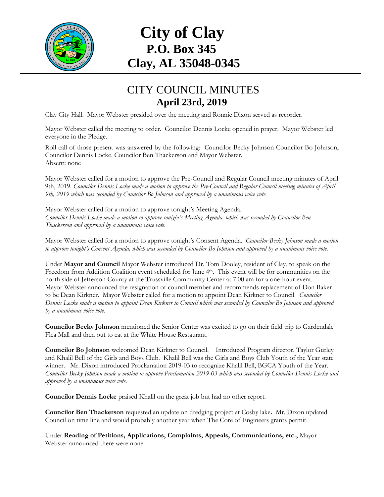

# **City of Clay P.O. Box 345 Clay, AL 35048-0345**

#### CITY COUNCIL MINUTES **April 23rd, 2019**

Clay City Hall. Mayor Webster presided over the meeting and Ronnie Dixon served as recorder.

Mayor Webster called the meeting to order. Councilor Dennis Locke opened in prayer. Mayor Webster led everyone in the Pledge.

Roll call of those present was answered by the following: Councilor Becky Johnson Councilor Bo Johnson, Councilor Dennis Locke, Councilor Ben Thackerson and Mayor Webster. Absent: none

Mayor Webster called for a motion to approve the Pre-Council and Regular Council meeting minutes of April 9th, 2019. *Councilor Dennis Locke made a motion to approve the Pre-Council and Regular Council meeting minutes of April 9th, 2019 which was seconded by Councilor Bo Johnson and approved by a unanimous voice vote.*

Mayor Webster called for a motion to approve tonight's Meeting Agenda. *Councilor Dennis Locke made a motion to approve tonight's Meeting Agenda, which was seconded by Councilor Ben Thackerson and approved by a unanimous voice vote.*

Mayor Webster called for a motion to approve tonight's Consent Agenda. *Councilor Becky Johnson made a motion to approve tonight's Consent Agenda, which was seconded by Councilor Bo Johnson and approved by a unanimous voice vote.*

Under **Mayor and Council** Mayor Webster introduced Dr. Tom Dooley, resident of Clay, to speak on the Freedom from Addition Coalition event scheduled for June 4<sup>th</sup>. This event will be for communities on the north side of Jefferson County at the Trussville Community Center at 7:00 am for a one-hour event. Mayor Webster announced the resignation of council member and recommends replacement of Don Baker to be Dean Kirkner. Mayor Webster called for a motion to appoint Dean Kirkner to Council. *Councilor Dennis Locke made a motion to appoint Dean Kirkner to Council which was seconded by Councilor Bo Johnson and approved by a unanimous voice vote.*

**Councilor Becky Johnson** mentioned the Senior Center was excited to go on their field trip to Gardendale Flea Mall and then out to eat at the White House Restaurant.

**Councilor Bo Johnson** welcomed Dean Kirkner to Council. Introduced Program director, Taylor Gurley and Khalil Bell of the Girls and Boys Club. Khalil Bell was the Girls and Boys Club Youth of the Year state winner. Mr. Dixon introduced Proclamation 2019-03 to recognize Khalil Bell, BGCA Youth of the Year. *Councilor Becky Johnson made a motion to approve Proclamation 2019-03 which was seconded by Councilor Dennis Locke and approved by a unanimous voice vote.*

**Councilor Dennis Locke** praised Khalil on the great job but had no other report.

**Councilor Ben Thackerson** requested an update on dredging project at Cosby lake**.** Mr. Dixon updated Council on time line and would probably another year when The Core of Engineers grants permit.

Under **Reading of Petitions, Applications, Complaints, Appeals, Communications, etc.,** Mayor Webster announced there were none.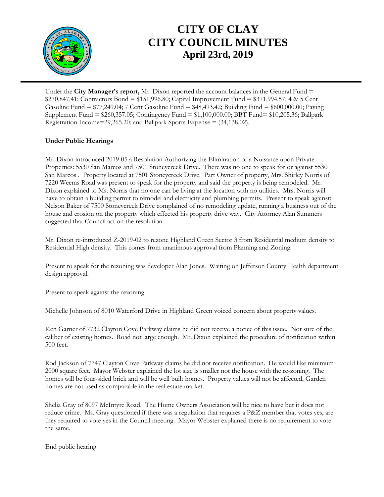

## **CITY OF CLAY CITY COUNCIL MINUTES April 23rd, 2019**

Under the **City Manager's report,** Mr. Dixon reported the account balances in the General Fund = \$270,847.41; Contractors Bond = \$151,996.80; Capital Improvement Fund = \$371,994.57; 4 & 5 Cent Gasoline Fund = \$77,249.04; 7 Cent Gasoline Fund = \$48,493.42; Building Fund = \$600,000.00; Paving Supplement Fund = \$260,357.05; Contingency Fund = \$1,100,000.00; BBT Fund= \$10,205.36; Ballpark Registration Income=29,265.20; and Ballpark Sports Expense = (34,138.02).

#### **Under Public Hearings**

Mr. Dixon introduced 2019-05 a Resolution Authorizing the Elimination of a Nuisance upon Private Properties: 5530 San Marcos and 7501 Stoneycreek Drive. There was no one to speak for or against 5530 San Marcos . Property located at 7501 Stoneycreek Drive. Part Owner of property, Mrs. Shirley Norris of 7220 Weems Road was present to speak for the property and said the property is being remodeled. Mr. Dixon explained to Ms. Norris that no one can be living at the location with no utilities. Mrs. Norris will have to obtain a building permit to remodel and electricity and plumbing permits. Present to speak against: Nelson Baker of 7500 Stoneycreek Drive complained of no remodeling update, running a business out of the house and erosion on the property which effected his property drive way. City Attorney Alan Summers suggested that Council act on the resolution.

Mr. Dixon re-introduced Z-2019-02 to rezone Highland Green Sector 3 from Residential medium density to Residential High density. This comes from unanimous approval from Planning and Zoning.

Present to speak for the rezoning was developer Alan Jones. Waiting on Jefferson County Health department design approval.

Present to speak against the rezoning:

Michelle Johnson of 8010 Waterford Drive in Highland Green voiced concern about property values.

Ken Garner of 7732 Clayton Cove Parkway claims he did not receive a notice of this issue. Not sure of the caliber of existing homes. Road not large enough. Mr. Dixon explained the procedure of notification within 500 feet.

Rod Jackson of 7747 Clayton Cove Parkway claims he did not receive notification. He would like minimum 2000 square feet. Mayor Webster explained the lot size is smaller not the house with the re-zoning. The homes will be four-sided brick and will be well built homes. Property values will not be affected, Garden homes are not used as comparable in the real estate market.

Shelia Gray of 8097 McIntyre Road. The Home Owners Association will be nice to have but it does not reduce crime. Ms. Gray questioned if there was a regulation that requires a P&Z member that votes yes, are they required to vote yes in the Council meeting. Mayor Webster explained there is no requirement to vote the same.

End public hearing.